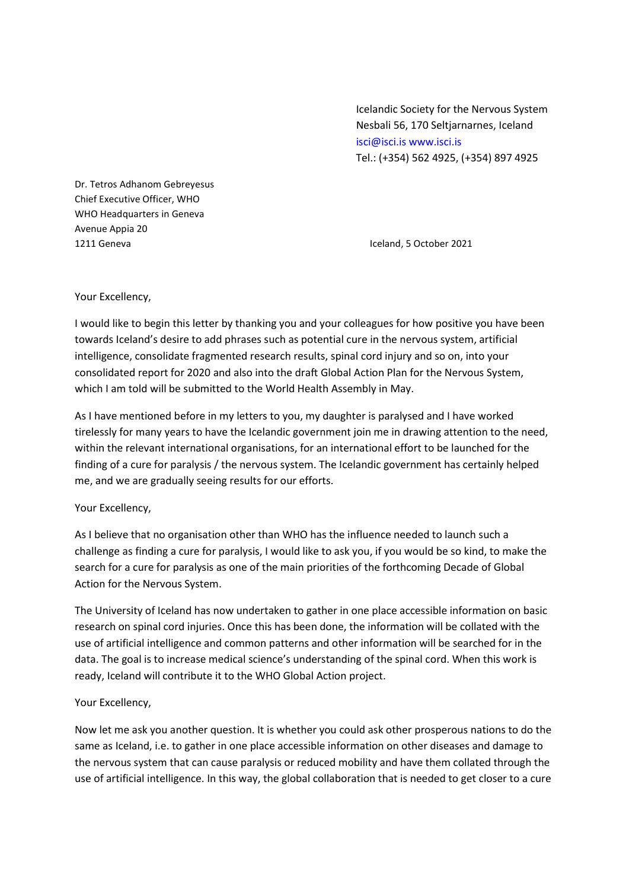Icelandic Society for the Nervous System Nesbali 56, 170 Seltjarnarnes, Iceland isci@isci.is www.isci.is Tel.: (+354) 562 4925, (+354) 897 4925

Dr. Tetros Adhanom Gebreyesus Chief Executive Officer, WHO WHO Headquarters in Geneva Avenue Appia 20 1211 Geneva Iceland, 5 October 2021

## Your Excellency,

I would like to begin this letter by thanking you and your colleagues for how positive you have been towards Iceland's desire to add phrases such as potential cure in the nervous system, artificial intelligence, consolidate fragmented research results, spinal cord injury and so on, into your consolidated report for 2020 and also into the draft Global Action Plan for the Nervous System, which I am told will be submitted to the World Health Assembly in May.

As I have mentioned before in my letters to you, my daughter is paralysed and I have worked tirelessly for many years to have the Icelandic government join me in drawing attention to the need, within the relevant international organisations, for an international effort to be launched for the finding of a cure for paralysis / the nervous system. The Icelandic government has certainly helped me, and we are gradually seeing results for our efforts.

## Your Excellency,

As I believe that no organisation other than WHO has the influence needed to launch such a challenge as finding a cure for paralysis, I would like to ask you, if you would be so kind, to make the search for a cure for paralysis as one of the main priorities of the forthcoming Decade of Global Action for the Nervous System.

The University of Iceland has now undertaken to gather in one place accessible information on basic research on spinal cord injuries. Once this has been done, the information will be collated with the use of artificial intelligence and common patterns and other information will be searched for in the data. The goal is to increase medical science's understanding of the spinal cord. When this work is ready, Iceland will contribute it to the WHO Global Action project.

## Your Excellency,

Now let me ask you another question. It is whether you could ask other prosperous nations to do the same as Iceland, i.e. to gather in one place accessible information on other diseases and damage to the nervous system that can cause paralysis or reduced mobility and have them collated through the use of artificial intelligence. In this way, the global collaboration that is needed to get closer to a cure